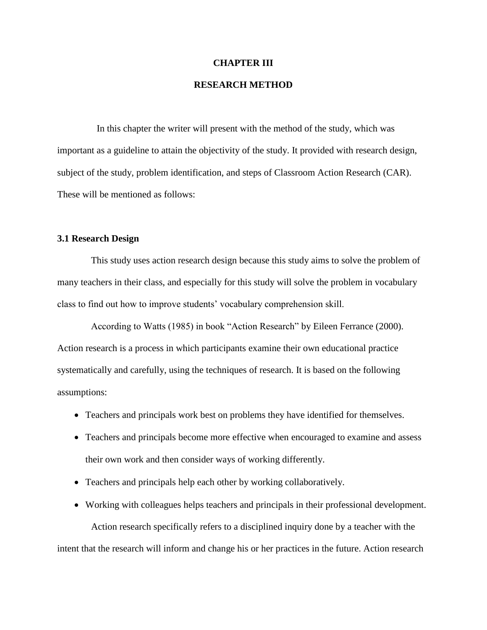#### **CHAPTER III**

# **RESEARCH METHOD**

In this chapter the writer will present with the method of the study, which was important as a guideline to attain the objectivity of the study. It provided with research design, subject of the study, problem identification, and steps of Classroom Action Research (CAR). These will be mentioned as follows:

#### **3.1 Research Design**

This study uses action research design because this study aims to solve the problem of many teachers in their class, and especially for this study will solve the problem in vocabulary class to find out how to improve students' vocabulary comprehension skill.

According to Watts (1985) in book "Action Research" by Eileen Ferrance (2000). Action research is a process in which participants examine their own educational practice systematically and carefully, using the techniques of research. It is based on the following assumptions:

- Teachers and principals work best on problems they have identified for themselves.
- Teachers and principals become more effective when encouraged to examine and assess their own work and then consider ways of working differently.
- Teachers and principals help each other by working collaboratively.
- Working with colleagues helps teachers and principals in their professional development.

Action research specifically refers to a disciplined inquiry done by a teacher with the intent that the research will inform and change his or her practices in the future. Action research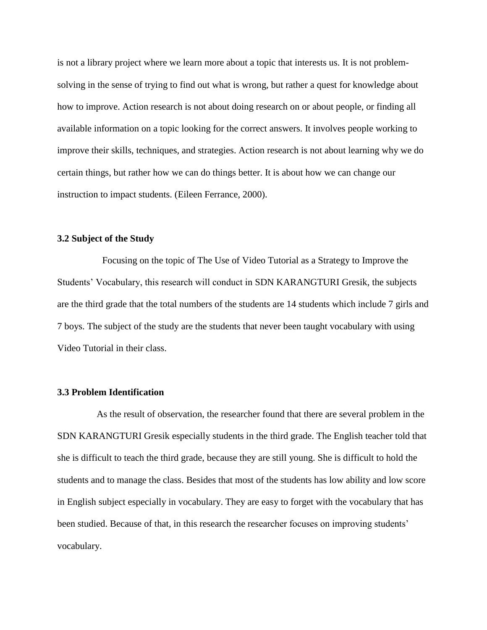is not a library project where we learn more about a topic that interests us. It is not problemsolving in the sense of trying to find out what is wrong, but rather a quest for knowledge about how to improve. Action research is not about doing research on or about people, or finding all available information on a topic looking for the correct answers. It involves people working to improve their skills, techniques, and strategies. Action research is not about learning why we do certain things, but rather how we can do things better. It is about how we can change our instruction to impact students. (Eileen Ferrance, 2000).

## **3.2 Subject of the Study**

Focusing on the topic of The Use of Video Tutorial as a Strategy to Improve the Students' Vocabulary, this research will conduct in SDN KARANGTURI Gresik, the subjects are the third grade that the total numbers of the students are 14 students which include 7 girls and 7 boys. The subject of the study are the students that never been taught vocabulary with using Video Tutorial in their class.

## **3.3 Problem Identification**

As the result of observation, the researcher found that there are several problem in the SDN KARANGTURI Gresik especially students in the third grade. The English teacher told that she is difficult to teach the third grade, because they are still young. She is difficult to hold the students and to manage the class. Besides that most of the students has low ability and low score in English subject especially in vocabulary. They are easy to forget with the vocabulary that has been studied. Because of that, in this research the researcher focuses on improving students' vocabulary.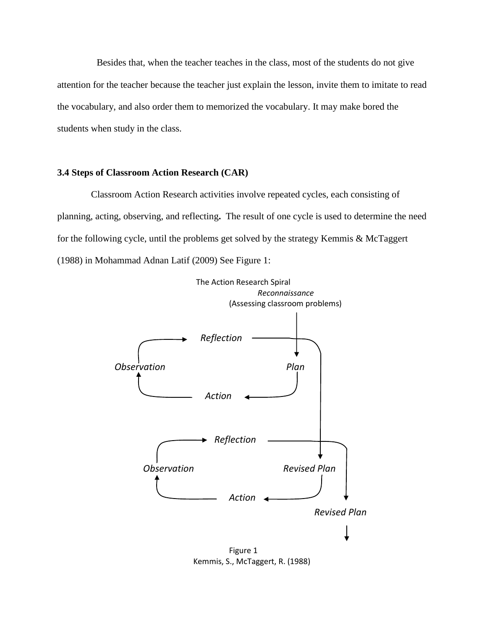Besides that, when the teacher teaches in the class, most of the students do not give attention for the teacher because the teacher just explain the lesson, invite them to imitate to read the vocabulary, and also order them to memorized the vocabulary. It may make bored the students when study in the class.

# **3.4 Steps of Classroom Action Research (CAR)**

Classroom Action Research activities involve repeated cycles, each consisting of planning, acting, observing, and reflecting**.** The result of one cycle is used to determine the need for the following cycle, until the problems get solved by the strategy Kemmis & McTaggert (1988) in Mohammad Adnan Latif (2009) See Figure 1:



Kemmis, S., McTaggert, R. (1988)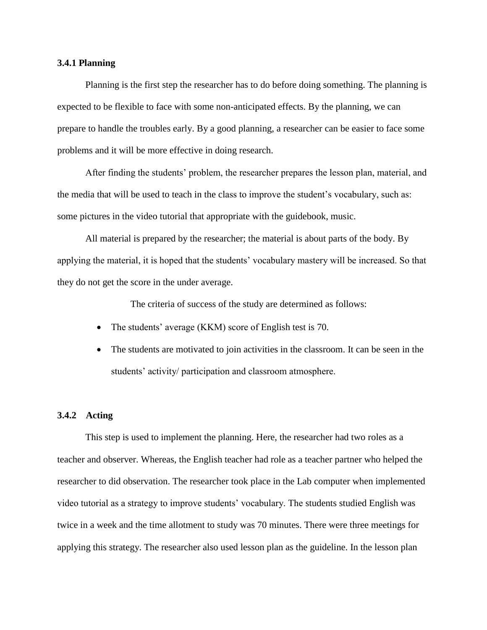## **3.4.1 Planning**

Planning is the first step the researcher has to do before doing something. The planning is expected to be flexible to face with some non-anticipated effects. By the planning, we can prepare to handle the troubles early. By a good planning, a researcher can be easier to face some problems and it will be more effective in doing research.

After finding the students' problem, the researcher prepares the lesson plan, material, and the media that will be used to teach in the class to improve the student's vocabulary, such as: some pictures in the video tutorial that appropriate with the guidebook, music.

All material is prepared by the researcher; the material is about parts of the body. By applying the material, it is hoped that the students' vocabulary mastery will be increased. So that they do not get the score in the under average.

The criteria of success of the study are determined as follows:

- The students' average (KKM) score of English test is 70.
- The students are motivated to join activities in the classroom. It can be seen in the students' activity/ participation and classroom atmosphere.

#### **3.4.2 Acting**

This step is used to implement the planning. Here, the researcher had two roles as a teacher and observer. Whereas, the English teacher had role as a teacher partner who helped the researcher to did observation. The researcher took place in the Lab computer when implemented video tutorial as a strategy to improve students' vocabulary. The students studied English was twice in a week and the time allotment to study was 70 minutes. There were three meetings for applying this strategy. The researcher also used lesson plan as the guideline. In the lesson plan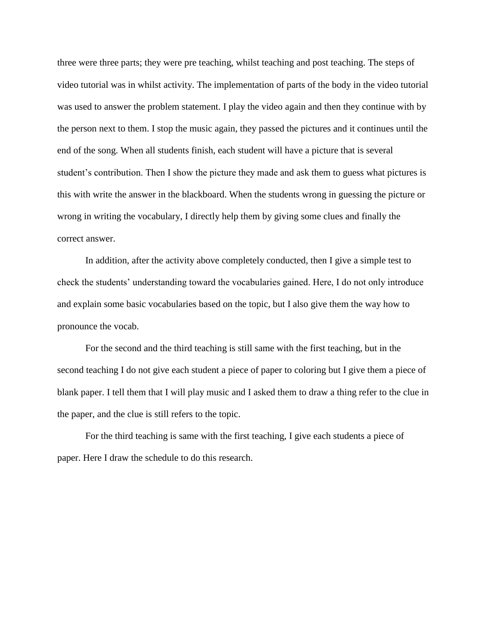three were three parts; they were pre teaching, whilst teaching and post teaching. The steps of video tutorial was in whilst activity. The implementation of parts of the body in the video tutorial was used to answer the problem statement. I play the video again and then they continue with by the person next to them. I stop the music again, they passed the pictures and it continues until the end of the song. When all students finish, each student will have a picture that is several student's contribution. Then I show the picture they made and ask them to guess what pictures is this with write the answer in the blackboard. When the students wrong in guessing the picture or wrong in writing the vocabulary, I directly help them by giving some clues and finally the correct answer.

In addition, after the activity above completely conducted, then I give a simple test to check the students' understanding toward the vocabularies gained. Here, I do not only introduce and explain some basic vocabularies based on the topic, but I also give them the way how to pronounce the vocab.

For the second and the third teaching is still same with the first teaching, but in the second teaching I do not give each student a piece of paper to coloring but I give them a piece of blank paper. I tell them that I will play music and I asked them to draw a thing refer to the clue in the paper, and the clue is still refers to the topic.

For the third teaching is same with the first teaching, I give each students a piece of paper. Here I draw the schedule to do this research.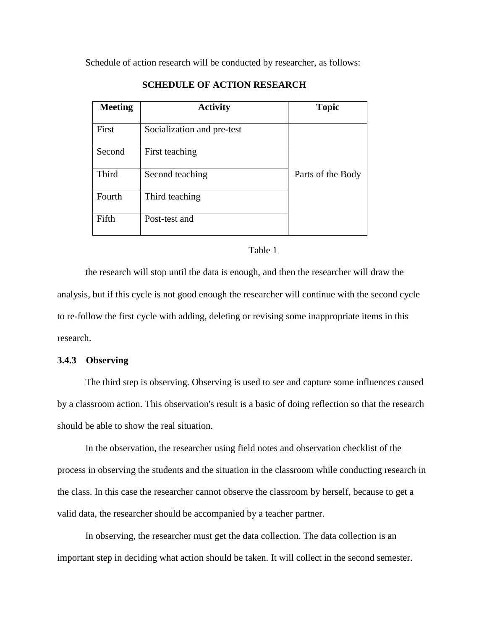Schedule of action research will be conducted by researcher, as follows:

| <b>Meeting</b> | <b>Activity</b>            | <b>Topic</b>      |
|----------------|----------------------------|-------------------|
| First          | Socialization and pre-test |                   |
| Second         | First teaching             |                   |
| <b>Third</b>   | Second teaching            | Parts of the Body |
| Fourth         | Third teaching             |                   |
| Fifth          | Post-test and              |                   |

# **SCHEDULE OF ACTION RESEARCH**

#### Table 1

the research will stop until the data is enough, and then the researcher will draw the analysis, but if this cycle is not good enough the researcher will continue with the second cycle to re-follow the first cycle with adding, deleting or revising some inappropriate items in this research.

## **3.4.3 Observing**

The third step is observing. Observing is used to see and capture some influences caused by a classroom action. This observation's result is a basic of doing reflection so that the research should be able to show the real situation.

In the observation, the researcher using field notes and observation checklist of the process in observing the students and the situation in the classroom while conducting research in the class. In this case the researcher cannot observe the classroom by herself, because to get a valid data, the researcher should be accompanied by a teacher partner.

In observing, the researcher must get the data collection. The data collection is an important step in deciding what action should be taken. It will collect in the second semester.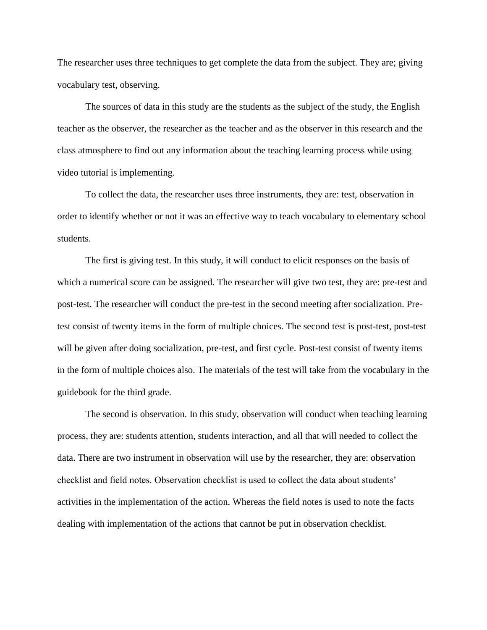The researcher uses three techniques to get complete the data from the subject. They are; giving vocabulary test, observing.

The sources of data in this study are the students as the subject of the study, the English teacher as the observer, the researcher as the teacher and as the observer in this research and the class atmosphere to find out any information about the teaching learning process while using video tutorial is implementing.

To collect the data, the researcher uses three instruments, they are: test, observation in order to identify whether or not it was an effective way to teach vocabulary to elementary school students.

The first is giving test. In this study, it will conduct to elicit responses on the basis of which a numerical score can be assigned. The researcher will give two test, they are: pre-test and post-test. The researcher will conduct the pre-test in the second meeting after socialization. Pretest consist of twenty items in the form of multiple choices. The second test is post-test, post-test will be given after doing socialization, pre-test, and first cycle. Post-test consist of twenty items in the form of multiple choices also. The materials of the test will take from the vocabulary in the guidebook for the third grade.

The second is observation. In this study, observation will conduct when teaching learning process, they are: students attention, students interaction, and all that will needed to collect the data. There are two instrument in observation will use by the researcher, they are: observation checklist and field notes. Observation checklist is used to collect the data about students' activities in the implementation of the action. Whereas the field notes is used to note the facts dealing with implementation of the actions that cannot be put in observation checklist.